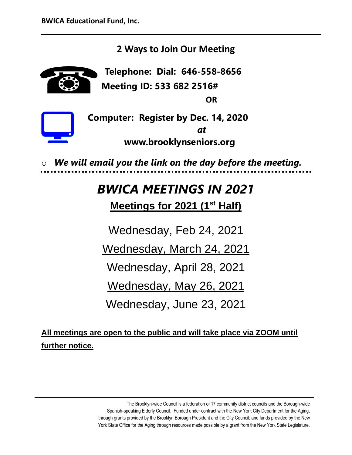## **2 Ways to Join Our Meeting**

**Telephone: Dial: 646-558-8656 Meeting ID: 533 682 2516# OR**



**[Co](https://creativecommons.org/licenses/by-nc/3.0/)mputer: Register by Dec. 14, 2020** *at* **www.brooklynseniors.org**

We will email you the link on the day before the meeting.

# *BWICA MEETINGS IN 2021*

**Meetings for 2021 (1st Half)**

Wednesday, Feb 24, 2021

Wednesday, March 24, 2021

Wednesday, April 28, 2021

Wednesday, May 26, 2021

Wednesday, June 23, 2021

**All meetings are open to the public and will take place via ZOOM until further notice.**

> The Brooklyn-wide Council is a federation of 17 community district councils and the Borough-wide Spanish-speaking Elderly Council. Funded under contract with the New York City Department for the Aging, through grants provided by the Brooklyn Borough President and the City Council; and funds provided by the New York State Office for the Aging through resources made possible by a grant from the New York State Legislature.